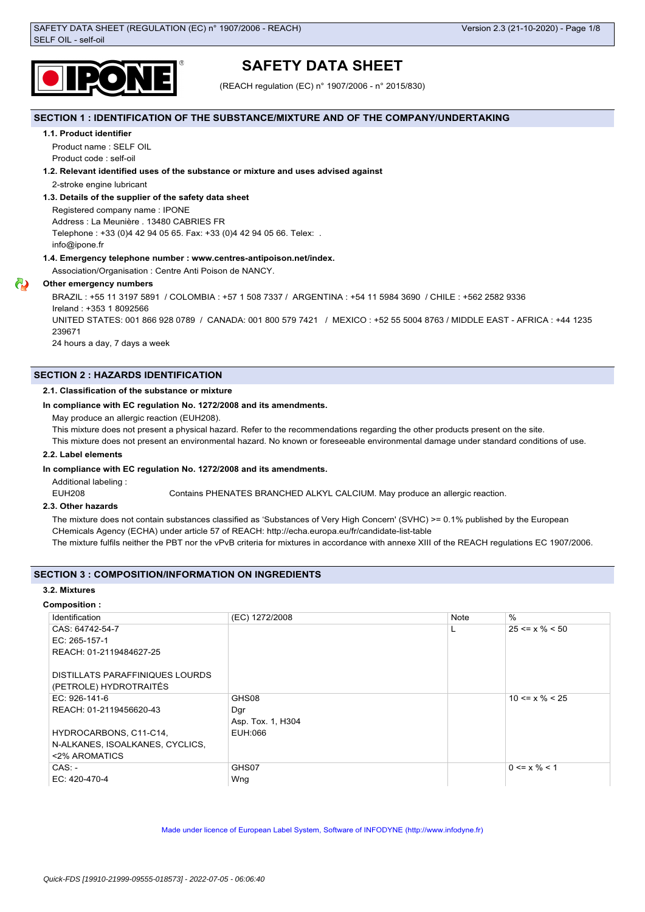

# **SAFETY DATA SHEET**

(REACH regulation (EC) n° 1907/2006 - n° 2015/830)

## **SECTION 1 : IDENTIFICATION OF THE SUBSTANCE/MIXTURE AND OF THE COMPANY/UNDERTAKING**

#### **1.1. Product identifier**

Product name : SELF OIL Product code : self-oil

## **1.2. Relevant identified uses of the substance or mixture and uses advised against**

2-stroke engine lubricant

## **1.3. Details of the supplier of the safety data sheet**

Registered company name : IPONE Address : La Meunière . 13480 CABRIES FR Telephone : +33 (0)4 42 94 05 65. Fax: +33 (0)4 42 94 05 66. Telex: . info@ipone.fr

## **1.4. Emergency telephone number : www.centres-antipoison.net/index.**

Association/Organisation : Centre Anti Poison de NANCY.

## **Other emergency numbers**

BRAZIL : +55 11 3197 5891 / COLOMBIA : +57 1 508 7337 / ARGENTINA : +54 11 5984 3690 / CHILE : +562 2582 9336 Ireland : +353 1 8092566 UNITED STATES: 001 866 928 0789 / CANADA: 001 800 579 7421 / MEXICO : +52 55 5004 8763 / MIDDLE EAST - AFRICA : +44 1235

239671

24 hours a day, 7 days a week

## **SECTION 2 : HAZARDS IDENTIFICATION**

#### **2.1. Classification of the substance or mixture**

## **In compliance with EC regulation No. 1272/2008 and its amendments.**

May produce an allergic reaction (EUH208).

This mixture does not present a physical hazard. Refer to the recommendations regarding the other products present on the site.

This mixture does not present an environmental hazard. No known or foreseeable environmental damage under standard conditions of use.

## **2.2. Label elements**

## **In compliance with EC regulation No. 1272/2008 and its amendments.**

Additional labeling :

EUH208 Contains PHENATES BRANCHED ALKYL CALCIUM. May produce an allergic reaction.

## **2.3. Other hazards**

The mixture does not contain substances classified as 'Substances of Very High Concern' (SVHC) >= 0.1% published by the European CHemicals Agency (ECHA) under article 57 of REACH: http://echa.europa.eu/fr/candidate-list-table

The mixture fulfils neither the PBT nor the vPvB criteria for mixtures in accordance with annexe XIII of the REACH regulations EC 1907/2006.

## **SECTION 3 : COMPOSITION/INFORMATION ON INGREDIENTS**

## **3.2. Mixtures**

## **Composition :**

| Identification                  | (EC) 1272/2008    | Note | $\frac{0}{0}$        |
|---------------------------------|-------------------|------|----------------------|
| CAS: 64742-54-7                 |                   |      | $25 \le x \% \le 50$ |
| EC: 265-157-1                   |                   |      |                      |
| REACH: 01-2119484627-25         |                   |      |                      |
|                                 |                   |      |                      |
| DISTILLATS PARAFFINIQUES LOURDS |                   |      |                      |
| (PETROLE) HYDROTRAITÉS          |                   |      |                      |
| $EC: 926-141-6$                 | GHS08             |      | $10 \le x \% \le 25$ |
| REACH: 01-2119456620-43         | Dgr               |      |                      |
|                                 | Asp. Tox. 1, H304 |      |                      |
| HYDROCARBONS, C11-C14,          | EUH:066           |      |                      |
| N-ALKANES, ISOALKANES, CYCLICS, |                   |      |                      |
| <2% AROMATICS                   |                   |      |                      |
| $CAS: -$                        | GHS07             |      | $0 \le x \% \le 1$   |
| EC: 420-470-4                   | Wng               |      |                      |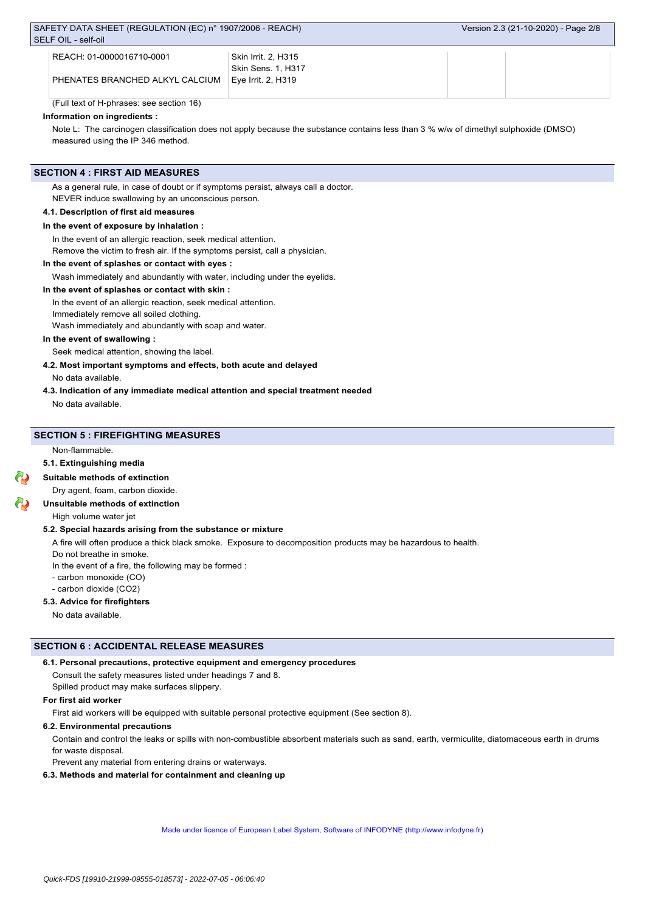| REACH: 01-0000016710-0001 REACH: | <b>Skin Irrit. 2, H315</b> |  |
|----------------------------------|----------------------------|--|
|                                  | Skin Sens. 1. H317         |  |
| PHENATES BRANCHED ALKYL CALCIUM  | l Eve Irrit. 2. H319       |  |
|                                  |                            |  |

(Full text of H-phrases: see section 16)

## **Information on ingredients :**

Note L: The carcinogen classification does not apply because the substance contains less than 3 % w/w of dimethyl sulphoxide (DMSO) measured using the IP 346 method.

### **SECTION 4 : FIRST AID MEASURES**

As a general rule, in case of doubt or if symptoms persist, always call a doctor. NEVER induce swallowing by an unconscious person.

#### **4.1. Description of first aid measures**

## **In the event of exposure by inhalation :**

In the event of an allergic reaction, seek medical attention.

Remove the victim to fresh air. If the symptoms persist, call a physician.

## **In the event of splashes or contact with eyes :**

Wash immediately and abundantly with water, including under the eyelids.

#### **In the event of splashes or contact with skin :**

In the event of an allergic reaction, seek medical attention.

Immediately remove all soiled clothing.

Wash immediately and abundantly with soap and water.

## **In the event of swallowing :**

Seek medical attention, showing the label.

## **4.2. Most important symptoms and effects, both acute and delayed**

No data available.

#### **4.3. Indication of any immediate medical attention and special treatment needed**

No data available.

## **SECTION 5 : FIREFIGHTING MEASURES**

Non-flammable.

## **5.1. Extinguishing media**

#### **Suitable methods of extinction**

Dry agent, foam, carbon dioxide.

## **Unsuitable methods of extinction**

High volume water jet

## **5.2. Special hazards arising from the substance or mixture**

A fire will often produce a thick black smoke. Exposure to decomposition products may be hazardous to health.

Do not breathe in smoke. In the event of a fire, the following may be formed :

- carbon monoxide (CO)

- carbon dioxide (CO2)

## **5.3. Advice for firefighters**

No data available.

## **SECTION 6 : ACCIDENTAL RELEASE MEASURES**

#### **6.1. Personal precautions, protective equipment and emergency procedures**

Consult the safety measures listed under headings 7 and 8.

Spilled product may make surfaces slippery.

#### **For first aid worker**

First aid workers will be equipped with suitable personal protective equipment (See section 8).

#### **6.2. Environmental precautions**

Contain and control the leaks or spills with non-combustible absorbent materials such as sand, earth, vermiculite, diatomaceous earth in drums for waste disposal.

Prevent any material from entering drains or waterways.

#### **6.3. Methods and material for containment and cleaning up**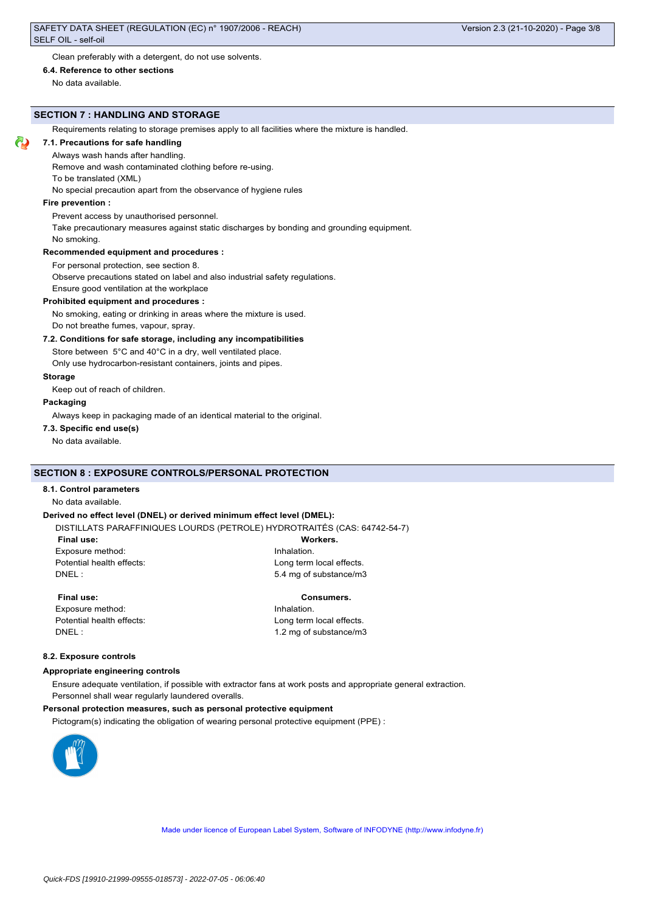Clean preferably with a detergent, do not use solvents.

**6.4. Reference to other sections**

No data available.

## **SECTION 7 : HANDLING AND STORAGE**

Requirements relating to storage premises apply to all facilities where the mixture is handled.

## **7.1. Precautions for safe handling**

Always wash hands after handling.

Remove and wash contaminated clothing before re-using.

To be translated (XML)

No special precaution apart from the observance of hygiene rules

## **Fire prevention :**

Prevent access by unauthorised personnel.

Take precautionary measures against static discharges by bonding and grounding equipment.

No smoking.

#### **Recommended equipment and procedures :**

For personal protection, see section 8.

Observe precautions stated on label and also industrial safety regulations.

Ensure good ventilation at the workplace

#### **Prohibited equipment and procedures :**

No smoking, eating or drinking in areas where the mixture is used. Do not breathe fumes, vapour, spray.

#### **7.2. Conditions for safe storage, including any incompatibilities**

Store between 5°C and 40°C in a dry, well ventilated place.

Only use hydrocarbon-resistant containers, joints and pipes.

## **Storage**

Keep out of reach of children.

## **Packaging**

Always keep in packaging made of an identical material to the original.

**7.3. Specific end use(s)**

No data available.

## **SECTION 8 : EXPOSURE CONTROLS/PERSONAL PROTECTION**

## **8.1. Control parameters**

#### No data available.

#### **Derived no effect level (DNEL) or derived minimum effect level (DMEL):**

DISTILLATS PARAFFINIQUES LOURDS (PETROLE) HYDROTRAITÉS (CAS: 64742-54-7)

| Final use: |
|------------|
|            |

Workers.

Exposure method: **Inhalation** Potential health effects: Long term local effects. DNEL : 5.4 mg of substance/m3

Exposure method: **Inhalation** Potential health effects: Long term local effects.

### **Final use: Consumers.**

DNEL : 1.2 mg of substance/m3

#### **8.2. Exposure controls**

#### **Appropriate engineering controls**

Ensure adequate ventilation, if possible with extractor fans at work posts and appropriate general extraction. Personnel shall wear regularly laundered overalls.

#### **Personal protection measures, such as personal protective equipment**

Pictogram(s) indicating the obligation of wearing personal protective equipment (PPE) :

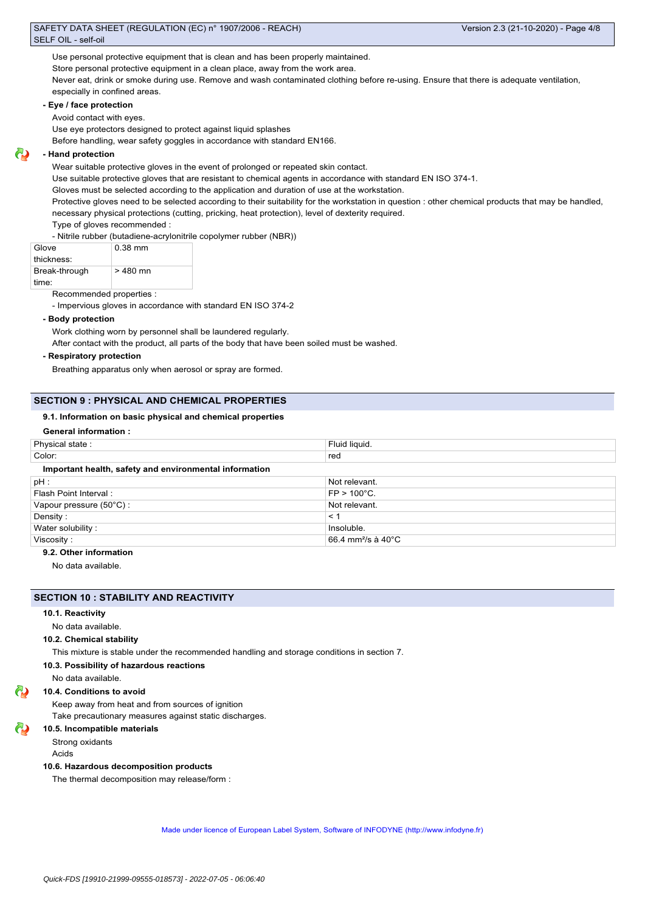Use personal protective equipment that is clean and has been properly maintained.

Store personal protective equipment in a clean place, away from the work area.

Never eat, drink or smoke during use. Remove and wash contaminated clothing before re-using. Ensure that there is adequate ventilation, especially in confined areas.

#### **- Eye / face protection**

Avoid contact with eyes.

Use eye protectors designed to protect against liquid splashes

Before handling, wear safety goggles in accordance with standard EN166.

## **- Hand protection**

Wear suitable protective gloves in the event of prolonged or repeated skin contact.

Use suitable protective gloves that are resistant to chemical agents in accordance with standard EN ISO 374-1.

Gloves must be selected according to the application and duration of use at the workstation.

Protective gloves need to be selected according to their suitability for the workstation in question : other chemical products that may be handled,

necessary physical protections (cutting, pricking, heat protection), level of dexterity required.

Type of gloves recommended :

- Nitrile rubber (butadiene-acrylonitrile copolymer rubber (NBR))

| Glove         | $0.38$ mm |
|---------------|-----------|
| thickness:    |           |
| Break-through | $>480$ mn |
| time:         |           |

Recommended properties :

- Impervious gloves in accordance with standard EN ISO 374-2

#### **- Body protection**

Work clothing worn by personnel shall be laundered regularly.

After contact with the product, all parts of the body that have been soiled must be washed.

**- Respiratory protection**

Breathing apparatus only when aerosol or spray are formed.

#### **SECTION 9 : PHYSICAL AND CHEMICAL PROPERTIES**

#### **9.1. Information on basic physical and chemical properties**

#### **General information :**

| Physical state:                                        | Fluid liquid.                             |  |
|--------------------------------------------------------|-------------------------------------------|--|
| Color:                                                 | red                                       |  |
| Important health, safety and environmental information |                                           |  |
| $pH$ :                                                 | Not relevant.                             |  |
| Flash Point Interval:                                  | $FP > 100^{\circ}C$ .                     |  |
| Vapour pressure (50°C):                                | Not relevant.                             |  |
| Density:                                               | < 1                                       |  |
| Water solubility:                                      | Insoluble.                                |  |
| Viscosity:                                             | 66.4 mm <sup>2</sup> /s à 40 $^{\circ}$ C |  |

## **9.2. Other information**

No data available.

#### **SECTION 10 : STABILITY AND REACTIVITY**

#### **10.1. Reactivity**

No data available.

#### **10.2. Chemical stability**

This mixture is stable under the recommended handling and storage conditions in section 7.

#### **10.3. Possibility of hazardous reactions**

No data available.

#### **10.4. Conditions to avoid**

Keep away from heat and from sources of ignition

Take precautionary measures against static discharges.

## **10.5. Incompatible materials**

Strong oxidants

Acids

#### **10.6. Hazardous decomposition products**

The thermal decomposition may release/form :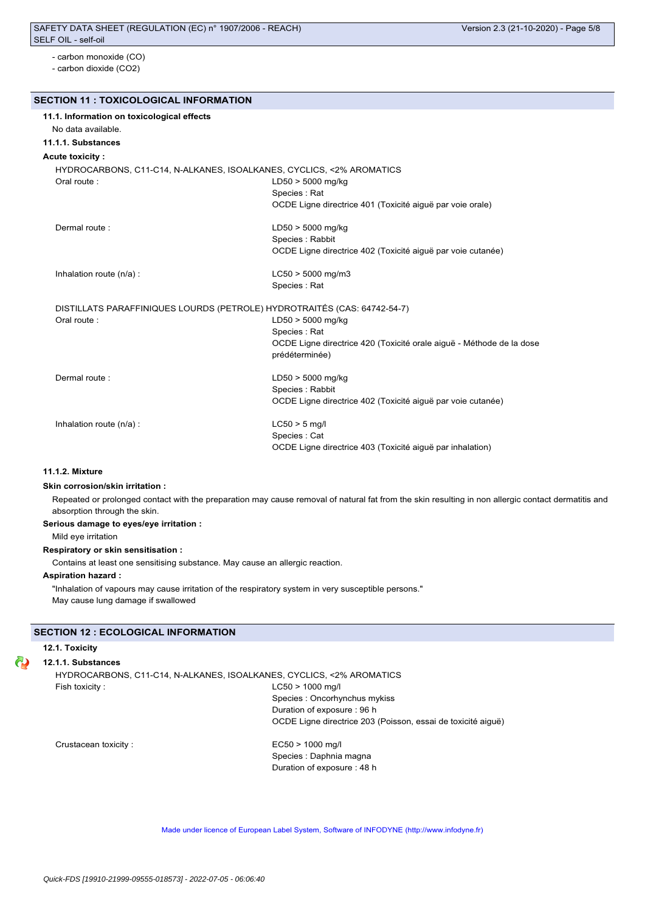- carbon monoxide (CO)
- carbon dioxide (CO2)

#### **SECTION 11 : TOXICOLOGICAL INFORMATION**

| 11.1. Information on toxicological effects |                                                                          |
|--------------------------------------------|--------------------------------------------------------------------------|
| No data available.                         |                                                                          |
| 11.1.1. Substances                         |                                                                          |
| Acute toxicity :                           |                                                                          |
|                                            | HYDROCARBONS, C11-C14, N-ALKANES, ISOALKANES, CYCLICS, <2% AROMATICS     |
| Oral route:                                | $LD50 > 5000$ mg/kg                                                      |
|                                            | Species : Rat                                                            |
|                                            | OCDE Ligne directrice 401 (Toxicité aiguë par voie orale)                |
| Dermal route:                              | $LD50 > 5000$ mg/kg                                                      |
|                                            | Species : Rabbit                                                         |
|                                            | OCDE Ligne directrice 402 (Toxicité aiguë par voie cutanée)              |
| Inhalation route (n/a) :                   | $LC50 > 5000$ mg/m3                                                      |
|                                            | Species : Rat                                                            |
|                                            | DISTILLATS PARAFFINIQUES LOURDS (PETROLE) HYDROTRAITÉS (CAS: 64742-54-7) |
| Oral route:                                | $LD50 > 5000$ mg/kg                                                      |
|                                            | Species: Rat                                                             |
|                                            | OCDE Ligne directrice 420 (Toxicité orale aiguë - Méthode de la dose     |
|                                            | prédéterminée)                                                           |
| Dermal route:                              | $LD50 > 5000$ mg/kg                                                      |
|                                            | Species : Rabbit                                                         |
|                                            | OCDE Ligne directrice 402 (Toxicité aiguë par voie cutanée)              |
| Inhalation route (n/a) :                   | $LC50 > 5$ mg/l                                                          |
|                                            | Species: Cat                                                             |
|                                            | OCDE Ligne directrice 403 (Toxicité aiguë par inhalation)                |

#### **11.1.2. Mixture**

#### **Skin corrosion/skin irritation :**

Repeated or prolonged contact with the preparation may cause removal of natural fat from the skin resulting in non allergic contact dermatitis and absorption through the skin.

## **Serious damage to eyes/eye irritation :**

Mild eye irritation

## **Respiratory or skin sensitisation :**

Contains at least one sensitising substance. May cause an allergic reaction.

#### **Aspiration hazard :**

"Inhalation of vapours may cause irritation of the respiratory system in very susceptible persons." May cause lung damage if swallowed

## **SECTION 12 : ECOLOGICAL INFORMATION**

#### **12.1. Toxicity**

#### **12.1.1. Substances**

HYDROCARBONS, C11-C14, N-ALKANES, ISOALKANES, CYCLICS, <2% AROMATICS Fish toxicity : LC50 > 1000 mg/l

Species : Oncorhynchus mykiss Duration of exposure : 96 h OCDE Ligne directrice 203 (Poisson, essai de toxicité aiguë)

Crustacean toxicity : EC50 > 1000 mg/l

Species : Daphnia magna Duration of exposure : 48 h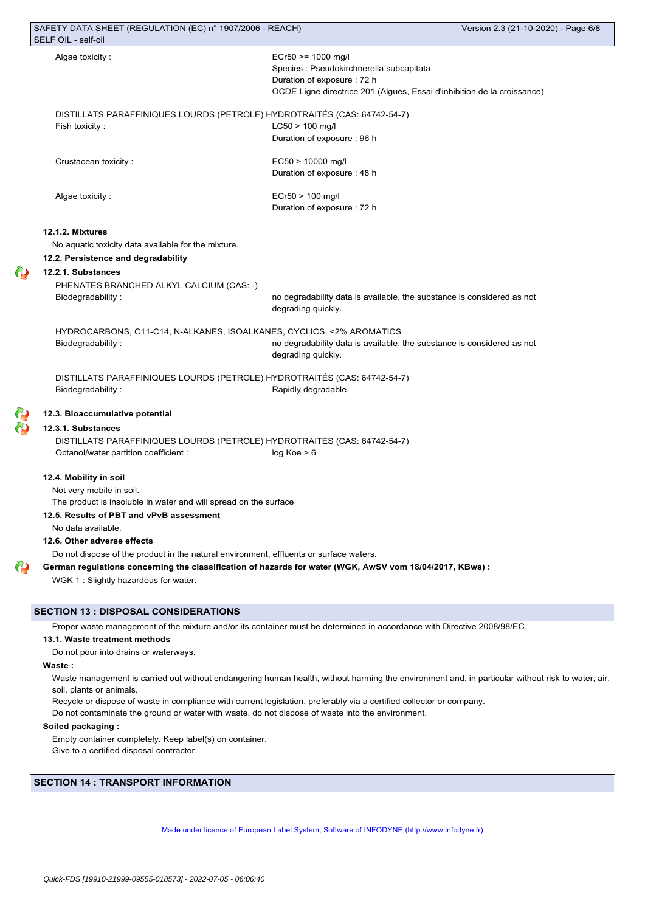| Algae toxicity:                                                                           | $ECr50 \ge 1000$ mg/l                                                                                    |
|-------------------------------------------------------------------------------------------|----------------------------------------------------------------------------------------------------------|
|                                                                                           | Species : Pseudokirchnerella subcapitata                                                                 |
|                                                                                           | Duration of exposure: 72 h                                                                               |
|                                                                                           | OCDE Ligne directrice 201 (Algues, Essai d'inhibition de la croissance)                                  |
|                                                                                           |                                                                                                          |
| DISTILLATS PARAFFINIQUES LOURDS (PETROLE) HYDROTRAITÉS (CAS: 64742-54-7)                  |                                                                                                          |
| Fish toxicity:                                                                            | $LC50 > 100$ mg/l                                                                                        |
|                                                                                           | Duration of exposure: 96 h                                                                               |
| Crustacean toxicity:                                                                      | $EC50 > 10000$ mg/l                                                                                      |
|                                                                                           | Duration of exposure: 48 h                                                                               |
| Algae toxicity:                                                                           | $ECr50 > 100$ mg/l                                                                                       |
|                                                                                           | Duration of exposure: 72 h                                                                               |
|                                                                                           |                                                                                                          |
| 12.1.2. Mixtures                                                                          |                                                                                                          |
| No aquatic toxicity data available for the mixture.                                       |                                                                                                          |
| 12.2. Persistence and degradability                                                       |                                                                                                          |
| 12.2.1. Substances                                                                        |                                                                                                          |
| PHENATES BRANCHED ALKYL CALCIUM (CAS: -)                                                  |                                                                                                          |
| Biodegradability:                                                                         | no degradability data is available, the substance is considered as not<br>degrading quickly.             |
|                                                                                           |                                                                                                          |
| HYDROCARBONS, C11-C14, N-ALKANES, ISOALKANES, CYCLICS, <2% AROMATICS<br>Biodegradability: | no degradability data is available, the substance is considered as not                                   |
|                                                                                           | degrading quickly.                                                                                       |
|                                                                                           |                                                                                                          |
| DISTILLATS PARAFFINIQUES LOURDS (PETROLE) HYDROTRAITĖS (CAS: 64742-54-7)                  |                                                                                                          |
| Biodegradability:                                                                         | Rapidly degradable.                                                                                      |
| 12.3. Bioaccumulative potential                                                           |                                                                                                          |
| 12.3.1. Substances                                                                        |                                                                                                          |
| DISTILLATS PARAFFINIQUES LOURDS (PETROLE) HYDROTRAITÉS (CAS: 64742-54-7)                  |                                                                                                          |
| Octanol/water partition coefficient :                                                     | log Koe > 6                                                                                              |
|                                                                                           |                                                                                                          |
| 12.4. Mobility in soil                                                                    |                                                                                                          |
| Not very mobile in soil.                                                                  |                                                                                                          |
| The product is insoluble in water and will spread on the surface                          |                                                                                                          |
| 12.5. Results of PBT and vPvB assessment                                                  |                                                                                                          |
| No data available.                                                                        |                                                                                                          |
| 12.6. Other adverse effects                                                               |                                                                                                          |
| Do not dispose of the product in the natural environment, effluents or surface waters.    |                                                                                                          |
|                                                                                           | German regulations concerning the classification of hazards for water (WGK, AwSV vom 18/04/2017, KBws) : |
| WGK 1 : Slightly hazardous for water.                                                     |                                                                                                          |

### **SECTION 13 : DISPOSAL CONSIDERATIONS**

Proper waste management of the mixture and/or its container must be determined in accordance with Directive 2008/98/EC.

#### **13.1. Waste treatment methods**

Do not pour into drains or waterways.

#### **Waste :**

ది

6ú

Waste management is carried out without endangering human health, without harming the environment and, in particular without risk to water, air, soil, plants or animals.

Recycle or dispose of waste in compliance with current legislation, preferably via a certified collector or company.

Do not contaminate the ground or water with waste, do not dispose of waste into the environment.

## **Soiled packaging :**

Empty container completely. Keep label(s) on container. Give to a certified disposal contractor.

## **SECTION 14 : TRANSPORT INFORMATION**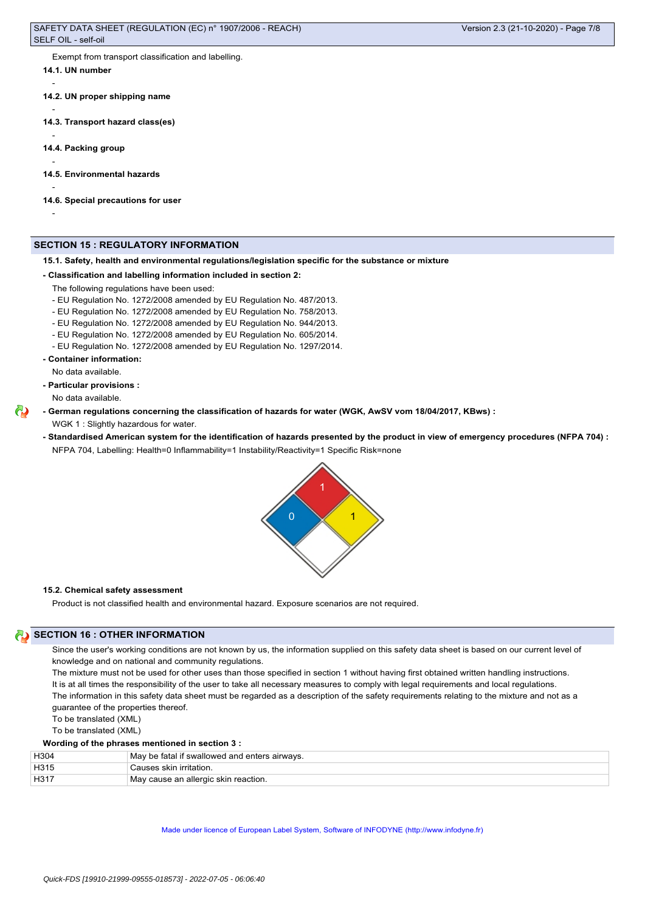Exempt from transport classification and labelling.

**14.1. UN number**

-

-

-

-

-

-

- **14.2. UN proper shipping name**
- **14.3. Transport hazard class(es)**
- **14.4. Packing group**
- **14.5. Environmental hazards**
- **14.6. Special precautions for user**

## **SECTION 15 : REGULATORY INFORMATION**

**15.1. Safety, health and environmental regulations/legislation specific for the substance or mixture**

#### **- Classification and labelling information included in section 2:**

The following regulations have been used:

- EU Regulation No. 1272/2008 amended by EU Regulation No. 487/2013.
- EU Regulation No. 1272/2008 amended by EU Regulation No. 758/2013.
- EU Regulation No. 1272/2008 amended by EU Regulation No. 944/2013.
- EU Regulation No. 1272/2008 amended by EU Regulation No. 605/2014.
- EU Regulation No. 1272/2008 amended by EU Regulation No. 1297/2014.
- **Container information:**
	- No data available.
- **Particular provisions :**

No data available.

- **German regulations concerning the classification of hazards for water (WGK, AwSV vom 18/04/2017, KBws) :**
	- WGK 1 : Slightly hazardous for water.
	- **Standardised American system for the identification of hazards presented by the product in view of emergency procedures (NFPA 704) :** NFPA 704, Labelling: Health=0 Inflammability=1 Instability/Reactivity=1 Specific Risk=none



#### **15.2. Chemical safety assessment**

Product is not classified health and environmental hazard. Exposure scenarios are not required.

## **SECTION 16 : OTHER INFORMATION**

Since the user's working conditions are not known by us, the information supplied on this safety data sheet is based on our current level of knowledge and on national and community regulations.

The mixture must not be used for other uses than those specified in section 1 without having first obtained written handling instructions. It is at all times the responsibility of the user to take all necessary measures to comply with legal requirements and local regulations. The information in this safety data sheet must be regarded as a description of the safety requirements relating to the mixture and not as a guarantee of the properties thereof.

To be translated (XML)

To be translated (XML)

#### **Wording of the phrases mentioned in section 3 :**

| H304 | May be fatal if swallowed and enters airways. |
|------|-----------------------------------------------|
| H315 | Causes skin irritation.                       |
| H317 | May cause an allergic skin reaction.          |